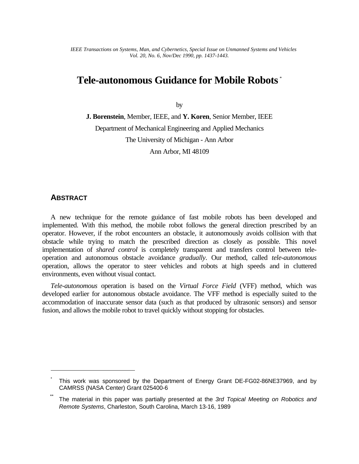*IEEE Transactions on Systems, Man, and Cybernetics, Special Issue on Unmanned Systems and Vehicles Vol. 20, No. 6, Nov/Dec 1990, pp. 1437-1443.*

# **Tele-autonomous Guidance for Mobile Robots** \*

by

**J. Borenstein**, Member, IEEE, and **Y. Koren**, Senior Member, IEEE Department of Mechanical Engineering and Applied Mechanics The University of Michigan - Ann Arbor Ann Arbor, MI 48109

### **ABSTRACT**

 $\overline{a}$ 

A new technique for the remote guidance of fast mobile robots has been developed and implemented. With this method, the mobile robot follows the general direction prescribed by an operator. However, if the robot encounters an obstacle, it autonomously avoids collision with that obstacle while trying to match the prescribed direction as closely as possible. This novel implementation of *shared control* is completely transparent and transfers control between teleoperation and autonomous obstacle avoidance *gradually*. Our method, called *tele-autonomous* operation, allows the operator to steer vehicles and robots at high speeds and in cluttered environments, even without visual contact.

*Tele-autonomous* operation is based on the *Virtual Force Field* (VFF) method, which was developed earlier for autonomous obstacle avoidance. The VFF method is especially suited to the accommodation of inaccurate sensor data (such as that produced by ultrasonic sensors) and sensor fusion, and allows the mobile robot to travel quickly without stopping for obstacles.

<sup>\*</sup> This work was sponsored by the Department of Energy Grant DE-FG02-86NE37969, and by CAMRSS (NASA Center) Grant 025400-6

<sup>\*\*</sup> The material in this paper was partially presented at the *3rd Topical Meeting on Robotics and Remote Systems*, Charleston, South Carolina, March 13-16, 1989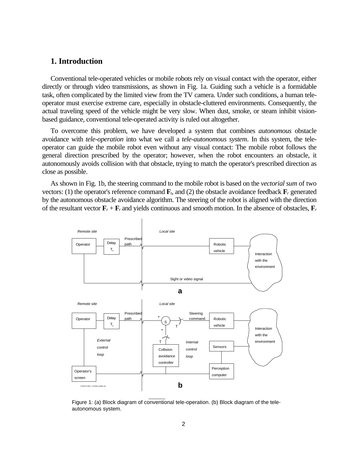#### **1. Introduction**

Conventional tele-operated vehicles or mobile robots rely on visual contact with the operator, either directly or through video transmissions, as shown in Fig. 1a. Guiding such a vehicle is a formidable task, often complicated by the limited view from the TV camera. Under such conditions, a human teleoperator must exercise extreme care, especially in obstacle-cluttered environments. Consequently, the actual traveling speed of the vehicle might be very slow. When dust, smoke, or steam inhibit visionbased guidance, conventional tele-operated activity is ruled out altogether.

To overcome this problem, we have developed a system that combines *autonomous* obstacle avoidance with *tele-operation* into what we call a *tele-autonomous system*. In this system, the teleoperator can guide the mobile robot even without any visual contact: The mobile robot follows the general direction prescribed by the operator; however, when the robot encounters an obstacle, it autonomously avoids collision with that obstacle, trying to match the operator's prescribed direction as close as possible.

As shown in Fig. 1b, the steering command to the mobile robot is based on the *vectorial sum* of two vectors: (1) the operator's reference command  $\mathbf{F}_t$ , and (2) the obstacle avoidance feedback  $\mathbf{F}_r$  generated by the autonomous obstacle avoidance algorithm. The steering of the robot is aligned with the direction of the resultant vector  $\mathbf{F}_r + \mathbf{F}_t$  and yields continuous and smooth motion. In the absence of obstacles,  $\mathbf{F}_r$ 



Figure 1: (a) Block diagram of conventional tele-operation. (b) Block diagram of the teleautonomous system.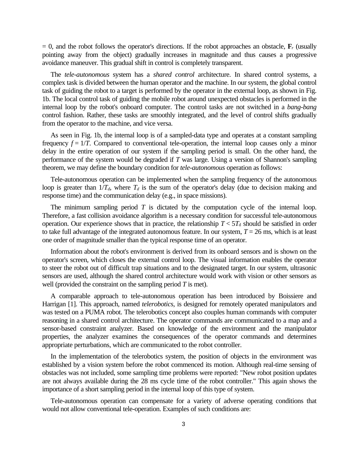$= 0$ , and the robot follows the operator's directions. If the robot approaches an obstacle,  $\mathbf{F}_r$  (usually pointing away from the object) gradually increases in magnitude and thus causes a progressive avoidance maneuver. This gradual shift in control is completely transparent.

The *tele-autonomous* system has a *shared control* architecture. In shared control systems, a complex task is divided between the human operator and the machine. In our system, the global control task of guiding the robot to a target is performed by the operator in the external loop, as shown in Fig. 1b. The local control task of guiding the mobile robot around unexpected obstacles is performed in the internal loop by the robot's onboard computer. The control tasks are not switched in a *bang-bang* control fashion. Rather, these tasks are smoothly integrated, and the level of control shifts gradually from the operator to the machine, and vice versa.

As seen in Fig. 1b, the internal loop is of a sampled-data type and operates at a constant sampling frequency  $f = 1/T$ . Compared to conventional tele-operation, the internal loop causes only a minor delay in the entire operation of our system if the sampling period is small. On the other hand, the performance of the system would be degraded if *T* was large. Using a version of Shannon's sampling theorem, we may define the boundary condition for *tele-autonomous* operation as follows:

Tele-autonomous operation can be implemented when the sampling frequency of the autonomous loop is greater than  $1/T_d$ , where  $T_d$  is the sum of the operator's delay (due to decision making and response time) and the communication delay (e.g., in space missions).

The minimum sampling period *T* is dictated by the computation cycle of the internal loop. Therefore, a fast collision avoidance algorithm is a necessary condition for successful tele-autonomous operation. Our experience shows that in practice, the relationship  $T < 5T_d$  should be satisfied in order to take full advantage of the integrated autonomous feature. In our system,  $T = 26$  ms, which is at least one order of magnitude smaller than the typical response time of an operator.

Information about the robot's environment is derived from its onboard sensors and is shown on the operator's screen, which closes the external control loop. The visual information enables the operator to steer the robot out of difficult trap situations and to the designated target. In our system, ultrasonic sensors are used, although the shared control architecture would work with vision or other sensors as well (provided the constraint on the sampling period *T* is met).

A comparable approach to tele-autonomous operation has been introduced by Boissiere and Harrigan [1]. This approach, named *telerobotics*, is designed for remotely operated manipulators and was tested on a PUMA robot. The telerobotics concept also couples human commands with computer reasoning in a shared control architecture. The operator commands are communicated to a map and a sensor-based constraint analyzer. Based on knowledge of the environment and the manipulator properties, the analyzer examines the consequences of the operator commands and determines appropriate perturbations, which are communicated to the robot controller.

In the implementation of the telerobotics system, the position of objects in the environment was established by a vision system before the robot commenced its motion. Although real-time sensing of obstacles was not included, some sampling time problems were reported: "New robot position updates are not always available during the 28 ms cycle time of the robot controller." This again shows the importance of a short sampling period in the internal loop of this type of system.

Tele-autonomous operation can compensate for a variety of adverse operating conditions that would not allow conventional tele-operation. Examples of such conditions are: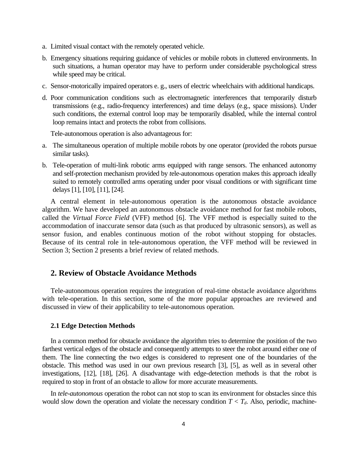- a. Limited visual contact with the remotely operated vehicle.
- b. Emergency situations requiring guidance of vehicles or mobile robots in cluttered environments. In such situations, a human operator may have to perform under considerable psychological stress while speed may be critical.
- c. Sensor-motorically impaired operators e. g., users of electric wheelchairs with additional handicaps.
- d. Poor communication conditions such as electromagnetic interferences that temporarily disturb transmissions (e.g., radio-frequency interferences) and time delays (e.g., space missions). Under such conditions, the external control loop may be temporarily disabled, while the internal control loop remains intact and protects the robot from collisions.

Tele-autonomous operation is also advantageous for:

- a. The simultaneous operation of multiple mobile robots by one operator (provided the robots pursue similar tasks).
- b. Tele-operation of multi-link robotic arms equipped with range sensors. The enhanced autonomy and self-protection mechanism provided by *t*ele-autonomous operation makes this approach ideally suited to remotely controlled arms operating under poor visual conditions or with significant time delays [1], [10], [11], [24].

A central element in tele-autonomous operation is the autonomous obstacle avoidance algorithm. We have developed an autonomous obstacle avoidance method for fast mobile robots, called the *Virtual Force Field* (VFF) method [6]. The VFF method is especially suited to the accommodation of inaccurate sensor data (such as that produced by ultrasonic sensors), as well as sensor fusion, and enables continuous motion of the robot without stopping for obstacles. Because of its central role in tele-autonomous operation, the VFF method will be reviewed in Section 3; Section 2 presents a brief review of related methods.

### **2. Review of Obstacle Avoidance Methods**

Tele-autonomous operation requires the integration of real-time obstacle avoidance algorithms with tele-operation. In this section, some of the more popular approaches are reviewed and discussed in view of their applicability to tele-autonomous operation.

#### **2.1 Edge Detection Methods**

In a common method for obstacle avoidance the algorithm tries to determine the position of the two farthest vertical edges of the obstacle and consequently attempts to steer the robot around either one of them. The line connecting the two edges is considered to represent one of the boundaries of the obstacle. This method was used in our own previous research [3], [5], as well as in several other investigations, [12], [18], [26]. A disadvantage with edge-detection methods is that the robot is required to stop in front of an obstacle to allow for more accurate measurements.

In *tele-autonomous* operation the robot can not stop to scan its environment for obstacles since this would slow down the operation and violate the necessary condition  $T < T_d$ . Also, periodic, machine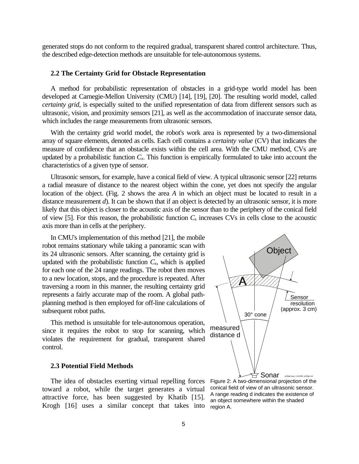generated stops do not conform to the required gradual, transparent shared control architecture. Thus, the described edge-detection methods are unsuitable for tele-autonomous systems.

#### **2.2 The Certainty Grid for Obstacle Representation**

A method for probabilistic representation of obstacles in a grid-type world model has been developed at Carnegie-Mellon University (CMU) [14], [19], [20]. The resulting world model, called *certainty grid*, is especially suited to the unified representation of data from different sensors such as ultrasonic, vision, and proximity sensors [21], as well as the accommodation of inaccurate sensor data, which includes the range measurements from ultrasonic sensors.

With the certainty grid world model, the robot's work area is represented by a two-dimensional array of square elements, denoted as cells. Each cell contains a *certainty value* (CV) that indicates the measure of confidence that an obstacle exists within the cell area. With the CMU method, CVs are updated by a probabilistic function  $C_x$ . This function is empirically formulated to take into account the characteristics of a given type of sensor.

Ultrasonic sensors, for example, have a conical field of view. A typical ultrasonic sensor [22] returns a radial measure of distance to the nearest object within the cone, yet does not specify the angular location of the object. (Fig. 2 shows the area *A* in which an object must be located to result in a distance measurement *d*). It can be shown that if an object is detected by an ultrasonic sensor, it is more likely that this object is closer to the acoustic axis of the sensor than to the periphery of the conical field of view [5]. For this reason, the probabilistic function  $C_x$  increases CVs in cells close to the acoustic axis more than in cells at the periphery.

In CMU's implementation of this method [21], the mobile robot remains stationary while taking a panoramic scan with its 24 ultrasonic sensors. After scanning, the certainty grid is updated with the probabilistic function  $C<sub>x</sub>$ , which is applied for each one of the 24 range readings. The robot then moves to a new location, stops, and the procedure is repeated. After traversing a room in this manner, the resulting certainty grid represents a fairly accurate map of the room. A global pathplanning method is then employed for off-line calculations of subsequent robot paths.

This method is unsuitable for tele-autonomous operation, since it requires the robot to stop for scanning, which violates the requirement for gradual, transparent shared control.

#### **2.3 Potential Field Methods**

The idea of obstacles exerting virtual repelling forces toward a robot, while the target generates a virtual attractive force, has been suggested by Khatib [15]. Krogh [16] uses a similar concept that takes into



Figure 2: A two-dimensional projection of the conical field of view of an ultrasonic sensor. A range reading d indicates the existence of an object somewhere within the shaded region A.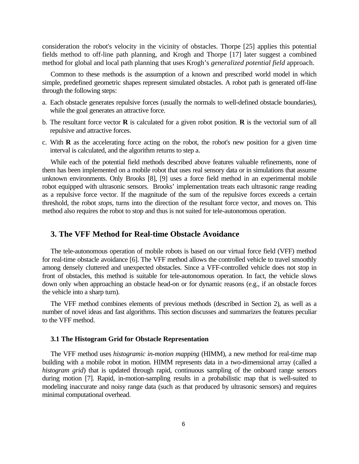consideration the robot's velocity in the vicinity of obstacles. Thorpe [25] applies this potential fields method to off-line path planning, and Krogh and Thorpe [17] later suggest a combined method for global and local path planning that uses Krogh's *generalized potential field* approach.

Common to these methods is the assumption of a known and prescribed world model in which simple, predefined geometric shapes represent simulated obstacles. A robot path is generated off-line through the following steps:

- a. Each obstacle generates repulsive forces (usually the normals to well-defined obstacle boundaries), while the goal generates an attractive force.
- b. The resultant force vector **R** is calculated for a given robot position. **R** is the vectorial sum of all repulsive and attractive forces.
- c. With **R** as the accelerating force acting on the robot, the robot's new position for a given time interval is calculated, and the algorithm returns to step a.

While each of the potential field methods described above features valuable refinements, none of them has been implemented on a mobile robot that uses real sensory data or in simulations that assume unknown environments. Only Brooks [8], [9] uses a force field method in an experimental mobile robot equipped with ultrasonic sensors. Brooks' implementation treats each ultrasonic range reading as a repulsive force vector. If the magnitude of the sum of the repulsive forces exceeds a certain threshold, the robot *stops*, turns into the direction of the resultant force vector, and moves on. This method also requires the robot to stop and thus is not suited for tele-autonomous operation.

### **3. The VFF Method for Real-time Obstacle Avoidance**

The tele-autonomous operation of mobile robots is based on our virtual force field (VFF) method for real-time obstacle avoidance [6]. The VFF method allows the controlled vehicle to travel smoothly among densely cluttered and unexpected obstacles. Since a VFF-controlled vehicle does not stop in front of obstacles, this method is suitable for tele-autonomous operation. In fact, the vehicle slows down only when approaching an obstacle head-on or for dynamic reasons (e.g., if an obstacle forces the vehicle into a sharp turn).

The VFF method combines elements of previous methods (described in Section 2), as well as a number of novel ideas and fast algorithms. This section discusses and summarizes the features peculiar to the VFF method.

#### **3.1 The Histogram Grid for Obstacle Representation**

The VFF method uses *histogramic in-motion mapping* (HIMM), a new method for real-time map building with a mobile robot in motion. HIMM represents data in a two-dimensional array (called a *histogram grid*) that is updated through rapid, continuous sampling of the onboard range sensors during motion [7]. Rapid, in-motion-sampling results in a probabilistic map that is well-suited to modeling inaccurate and noisy range data (such as that produced by ultrasonic sensors) and requires minimal computational overhead.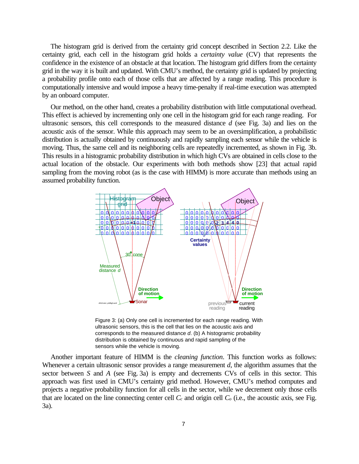The histogram grid is derived from the certainty grid concept described in Section 2.2. Like the certainty grid, each cell in the histogram grid holds a *certainty value* (CV) that represents the confidence in the existence of an obstacle at that location. The histogram grid differs from the certainty grid in the way it is built and updated. With CMU's method, the certainty grid is updated by projecting a probability profile onto each of those cells that are affected by a range reading. This procedure is computationally intensive and would impose a heavy time-penalty if real-time execution was attempted by an onboard computer.

Our method, on the other hand, creates a probability distribution with little computational overhead. This effect is achieved by incrementing only one cell in the histogram grid for each range reading. For ultrasonic sensors, this cell corresponds to the measured distance *d* (see Fig. 3a) and lies on the acoustic axis of the sensor. While this approach may seem to be an oversimplification, a probabilistic distribution is actually obtained by continuously and rapidly sampling each sensor while the vehicle is moving. Thus, the same cell and its neighboring cells are repeatedly incremented, as shown in Fig. 3b. This results in a histogramic probability distribution in which high CVs are obtained in cells close to the actual location of the obstacle. Our experiments with both methods show [23] that actual rapid sampling from the moving robot (as is the case with HIMM) is more accurate than methods using an assumed probability function.



Figure 3: (a) Only one cell is incremented for each range reading. With ultrasonic sensors, this is the cell that lies on the acoustic axis and corresponds to the measured distance *d*. (b) A histogramic probability distribution is obtained by continuous and rapid sampling of the sensors while the vehicle is moving.

Another important feature of HIMM is the *cleaning function*. This function works as follows: Whenever a certain ultrasonic sensor provides a range measurement *d*, the algorithm assumes that the sector between *S* and *A* (see Fig. 3a) is empty and decrements CVs of cells in this sector. This approach was first used in CMU's certainty grid method. However, CMU's method computes and projects a negative probability function for all cells in the sector, while we decrement only those cells that are located on the line connecting center cell  $C_c$  and origin cell  $C<sub>o</sub>$  (i.e., the acoustic axis, see Fig. 3a).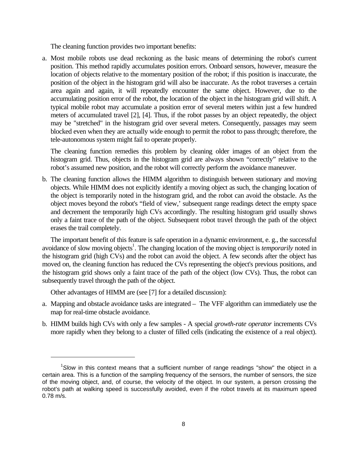The cleaning function provides two important benefits:

a. Most mobile robots use dead reckoning as the basic means of determining the robot's current position. This method rapidly accumulates position errors. Onboard sensors, however, measure the location of objects relative to the momentary position of the robot; if this position is inaccurate, the position of the object in the histogram grid will also be inaccurate. As the robot traverses a certain area again and again, it will repeatedly encounter the same object. However, due to the accumulating position error of the robot, the location of the object in the histogram grid will shift. A typical mobile robot may accumulate a position error of several meters within just a few hundred meters of accumulated travel [2], [4]. Thus, if the robot passes by an object repeatedly, the object may be "stretched" in the histogram grid over several meters. Consequently, passages may seem blocked even when they are actually wide enough to permit the robot to pass through; therefore, the tele-autonomous system might fail to operate properly.

The cleaning function remedies this problem by cleaning older images of an object from the histogram grid. Thus, objects in the histogram grid are always shown "correctly" relative to the robot's assumed new position, and the robot will correctly perform the avoidance maneuver.

b. The cleaning function allows the HIMM algorithm to distinguish between stationary and moving objects. While HIMM does not explicitly identify a moving object as such, the changing location of the object is temporarily noted in the histogram grid, and the robot can avoid the obstacle. As the object moves beyond the robot's "field of view,' subsequent range readings detect the empty space and decrement the temporarily high CVs accordingly. The resulting histogram grid usually shows only a faint trace of the path of the object. Subsequent robot travel through the path of the object erases the trail completely.

The important benefit of this feature is safe operation in a dynamic environment, e. g., the successful avoidance of slow moving objects<sup>1</sup>. The changing location of the moving object is *temporarily* noted in the histogram grid (high CVs) and the robot can avoid the object. A few seconds after the object has moved on, the cleaning function has reduced the CVs representing the object's previous positions, and the histogram grid shows only a faint trace of the path of the object (low CVs). Thus, the robot can subsequently travel through the path of the object.

Other advantages of HIMM are (see [7] for a detailed discussion):

 $\overline{a}$ 

- a. Mapping and obstacle avoidance tasks are integrated The VFF algorithm can immediately use the map for real-time obstacle avoidance.
- b. HIMM builds high CVs with only a few samples A special *growth-rate operator* increments CVs more rapidly when they belong to a cluster of filled cells (indicating the existence of a real object).

<sup>&</sup>lt;sup>1</sup>Slow in this context means that a sufficient number of range readings "show" the object in a certain area. This is a function of the sampling frequency of the sensors, the number of sensors, the size of the moving object, and, of course, the velocity of the object. In our system, a person crossing the robot's path at walking speed is successfully avoided, even if the robot travels at its maximum speed 0.78 m/s.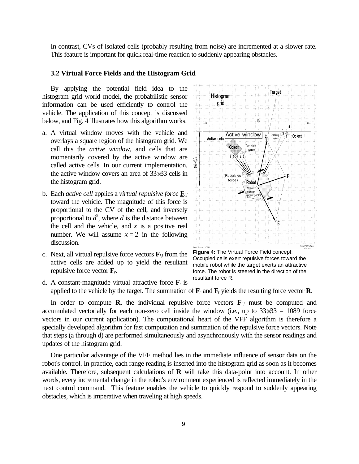In contrast, CVs of isolated cells (probably resulting from noise) are incremented at a slower rate. This feature is important for quick real-time reaction to suddenly appearing obstacles.

#### **3.2 Virtual Force Fields and the Histogram Grid**

By applying the potential field idea to the histogram grid world model, the probabilistic sensor information can be used efficiently to control the vehicle. The application of this concept is discussed below, and Fig. 4 illustrates how this algorithm works.

- a. A virtual window moves with the vehicle and overlays a square region of the histogram grid. We call this the *active window*, and cells that are momentarily covered by the active window are called active cells. In our current implementation, the active window covers an area of 33×33 cells in the histogram grid.
- b. Each *active cell* applies a *virtual repulsive force* **F***i,j* toward the vehicle. The magnitude of this force is proportional to the CV of the cell, and inversely proportional to  $d^x$ , where  $d$  is the distance between the cell and the vehicle, and  $x$  is a positive real number. We will assume  $x = 2$  in the following discussion.
- c. Next, all virtual repulsive force vectors  $\mathbf{F}_{i,j}$  from the active cells are added up to yield the resultant repulsive force vector **F***r*.



**Figure 4:** The Virtual Force Field concept: Occupied cells exert repulsive forces toward the mobile robot while the target exerts an attractive force. The robot is steered in the direction of the resultant force R.

d. A constant-magnitude virtual attractive force  $\mathbf{F}_t$  is applied to the vehicle by the target. The summation of  $\mathbf{F}_r$  and  $\mathbf{F}_t$  yields the resulting force vector **R**.

In order to compute **R**, the individual repulsive force vectors  $\mathbf{F}_{i,j}$  must be computed and accumulated vectorially for each non-zero cell inside the window (i.e., up to  $33\times33 = 1089$  force vectors in our current application). The computational heart of the VFF algorithm is therefore a specially developed algorithm for fast computation and summation of the repulsive force vectors. Note that steps (a through d) are performed simultaneously and asynchronously with the sensor readings and updates of the histogram grid.

One particular advantage of the VFF method lies in the immediate influence of sensor data on the robot's control. In practice, each range reading is inserted into the histogram grid as soon as it becomes available. Therefore, subsequent calculations of **R** will take this data-point into account. In other words, every incremental change in the robot's environment experienced is reflected immediately in the next control command. This feature enables the vehicle to quickly respond to suddenly appearing obstacles, which is imperative when traveling at high speeds.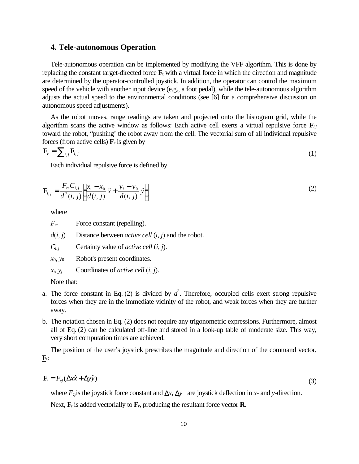### **4. Tele-autonomous Operation**

Tele-autonomous operation can be implemented by modifying the VFF algorithm. This is done by replacing the constant target-directed force  $\mathbf{F}_t$  with a virtual force in which the direction and magnitude are determined by the operator-controlled joystick. In addition, the operator can control the maximum speed of the vehicle with another input device (e.g., a foot pedal), while the tele-autonomous algorithm adjusts the actual speed to the environmental conditions (see [6] for a comprehensive discussion on autonomous speed adjustments).

As the robot moves, range readings are taken and projected onto the histogram grid, while the algorithm scans the active window as follows: Each active cell exerts a virtual repulsive force  $\mathbf{F}_{i,j}$ toward the robot, "pushing' the robot away from the cell. The vectorial sum of all individual repulsive forces (from active cells)  $\mathbf{F}_r$  is given by

$$
\mathbf{F}_r = \sum_{i,j} \mathbf{F}_{i,j} \tag{1}
$$

Each individual repulsive force is defined by

$$
\mathbf{F}_{i,j} = \frac{F_{cr}C_{i,j}}{d^2(i,j)} \left[ \frac{x_i - x_0}{d(i,j)} \hat{x} + \frac{y_i - y_0}{d(i,j)} \hat{y} \right]
$$
(2)

where

*F*<sub>cr</sub> Force constant (repelling).

 $d(i, j)$  Distance between *active cell*  $(i, j)$  and the robot.

*Ci, j* Certainty value of *active cell* (*i*, *j*).

*x*0, *y*<sup>0</sup> Robot's present coordinates.

*xi*, *y<sup>j</sup>* Coordinates of *active cell* (*i, j*).

Note that:

- a. The force constant in Eq. (2) is divided by  $d^2$ . Therefore, occupied cells exert strong repulsive forces when they are in the immediate vicinity of the robot, and weak forces when they are further away.
- b. The notation chosen in Eq. (2) does not require any trigonometric expressions. Furthermore, almost all of Eq. (2) can be calculated off-line and stored in a look-up table of moderate size. This way, very short computation times are achieved.

The position of the user's joystick prescribes the magnitude and direction of the command vector,  $\mathbf{F}_t$ :

$$
\mathbf{F}_t = F_{cj} (\Delta x \hat{x} + \Delta y \hat{y}) \tag{3}
$$

where  $F_{\text{c}}$  is the joystick force constant and  $\Delta x$ ,  $\Delta y$  are joystick deflection in *x*- and *y*-direction. Next,  $\mathbf{F}_t$  is added vectorially to  $\mathbf{F}_t$ , producing the resultant force vector **R**.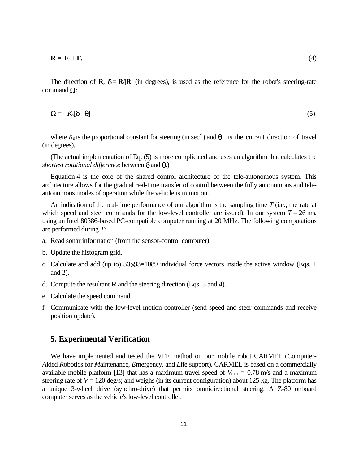$$
\mathbf{R} = \mathbf{F}_t + \mathbf{F}_r \tag{4}
$$

The direction of **R**,  $\delta = \mathbf{R}/|\mathbf{R}|$  (in degrees), is used as the reference for the robot's steering-rate command Ω:

$$
\Omega = K_{s}[\delta - \theta] \tag{5}
$$

where  $K_s$  is the proportional constant for steering (in sec<sup>-1</sup>) and  $\theta$  is the current direction of travel (in degrees).

(The actual implementation of Eq. (5) is more complicated and uses an algorithm that calculates the *shortest rotational difference* between δ and θ.)

Equation 4 is the core of the shared control architecture of the tele-autonomous system. This architecture allows for the gradual real-time transfer of control between the fully autonomous and teleautonomous modes of operation while the vehicle is in motion.

An indication of the real-time performance of our algorithm is the sampling time *T* (i.e., the rate at which speed and steer commands for the low-level controller are issued). In our system  $T = 26$  ms, using an Intel 80386-based PC-compatible computer running at 20 MHz. The following computations are performed during *T*:

- a. Read sonar information (from the sensor-control computer).
- b. Update the histogram grid.
- c. Calculate and add (up to)  $33\times33=1089$  individual force vectors inside the active window (Eqs. 1) and 2).
- d. Compute the resultant **R** and the steering direction (Eqs. 3 and 4).
- e. Calculate the speed command.
- f. Communicate with the low-level motion controller (send speed and steer commands and receive position update).

### **5. Experimental Verification**

We have implemented and tested the VFF method on our mobile robot CARMEL (*C*omputer-*A*ided *R*obotics for *M*aintenance, *E*mergency, and *L*ife support). CARMEL is based on a commercially available mobile platform [13] that has a maximum travel speed of  $V_{\text{max}} = 0.78 \text{ m/s}$  and a maximum steering rate of  $V = 120$  deg/s; and weighs (in its current configuration) about 125 kg. The platform has a unique 3-wheel drive (synchro-drive) that permits omnidirectional steering. A Z-80 onboard computer serves as the vehicle's low-level controller.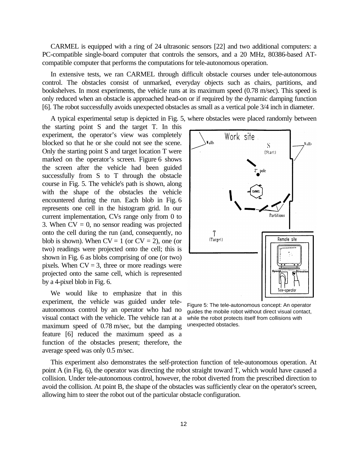CARMEL is equipped with a ring of 24 ultrasonic sensors [22] and two additional computers: a PC-compatible single-board computer that controls the sensors, and a 20 MHz, 80386-based ATcompatible computer that performs the computations for tele-autonomous operation.

In extensive tests, we ran CARMEL through difficult obstacle courses under tele-autonomous control. The obstacles consist of unmarked, everyday objects such as chairs, partitions, and bookshelves. In most experiments, the vehicle runs at its maximum speed (0.78 m/sec). This speed is only reduced when an obstacle is approached head-on or if required by the dynamic damping function [6]. The robot successfully avoids unexpected obstacles as small as a vertical pole 3/4 inch in diameter.

A typical experimental setup is depicted in Fig. 5, where obstacles were placed randomly between

the starting point S and the target T. In this experiment, the operator's view was completely blocked so that he or she could not see the scene. Only the starting point S and target location T were marked on the operator's screen. Figure 6 shows the screen after the vehicle had been guided successfully from S to T through the obstacle course in Fig. 5. The vehicle's path is shown, along with the shape of the obstacles the vehicle encountered during the run. Each blob in Fig. 6 represents one cell in the histogram grid. In our current implementation, CVs range only from 0 to 3. When  $CV = 0$ , no sensor reading was projected onto the cell during the run (and, consequently, no blob is shown). When  $CV = 1$  (or  $CV = 2$ ), one (or two) readings were projected onto the cell; this is shown in Fig. 6 as blobs comprising of one (or two) pixels. When  $CV = 3$ , three or more readings were projected onto the same cell, which is represented by a 4-pixel blob in Fig. 6.

We would like to emphasize that in this experiment, the vehicle was guided under teleautonomous control by an operator who had no visual contact with the vehicle. The vehicle ran at a maximum speed of 0.78 m/sec, but the damping feature [6] reduced the maximum speed as a function of the obstacles present; therefore, the average speed was only 0.5 m/sec.



Figure 5: The tele-autonomous concept: An operator guides the mobile robot without direct visual contact, while the robot protects itself from collisions with unexpected obstacles.

This experiment also demonstrates the self-protection function of tele-autonomous operation. At point A (in Fig. 6), the operator was directing the robot straight toward T, which would have caused a collision. Under tele-autonomous control, however, the robot diverted from the prescribed direction to avoid the collision. At point B, the shape of the obstacles was sufficiently clear on the operator's screen, allowing him to steer the robot out of the particular obstacle configuration.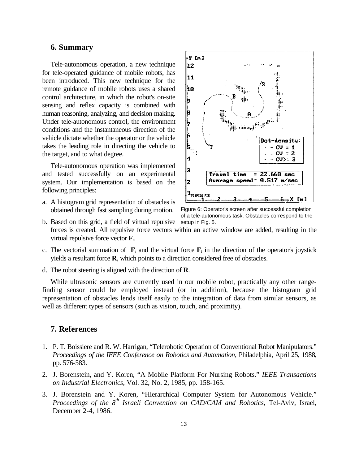#### **6. Summary**

Tele-autonomous operation, a new technique for tele-operated guidance of mobile robots, has been introduced. This new technique for the remote guidance of mobile robots uses a shared control architecture, in which the robot's on-site sensing and reflex capacity is combined with human reasoning, analyzing, and decision making. Under tele-autonomous control, the environment conditions and the instantaneous direction of the vehicle dictate whether the operator or the vehicle takes the leading role in directing the vehicle to the target, and to what degree.

Tele-autonomous operation was implemented and tested successfully on an experimental system. Our implementation is based on the following principles:

a. A histogram grid representation of obstacles is obtained through fast sampling during motion.



b. Based on this grid, a field of virtual repulsive setup in Fig. 5.forces is created. All repulsive force vectors within an active window are added, resulting in the virtual repulsive force vector **F**r. of a tele-autonomous task. Obstacles correspond to the

- c. The vectorial summation of  $\mathbf{F}_r$  and the virtual force  $\mathbf{F}_t$  in the direction of the operator's joystick yields a resultant force **R**, which points to a direction considered free of obstacles.
- d. The robot steering is aligned with the direction of **R**.

While ultrasonic sensors are currently used in our mobile robot, practically any other rangefinding sensor could be employed instead (or in addition), because the histogram grid representation of obstacles lends itself easily to the integration of data from similar sensors, as well as different types of sensors (such as vision, touch, and proximity).

## **7. References**

- 1. P. T. Boissiere and R. W. Harrigan, "Telerobotic Operation of Conventional Robot Manipulators." *Proceedings of the IEEE Conference on Robotics and Automation*, Philadelphia, April 25, 1988, pp. 576-583.
- 2. J. Borenstein, and Y. Koren, "A Mobile Platform For Nursing Robots." *IEEE Transactions on Industrial Electronics*, Vol. 32, No. 2, 1985, pp. 158-165.
- 3. J. Borenstein and Y. Koren, "Hierarchical Computer System for Autonomous Vehicle." *Proceedings of the 8th Israeli Convention on CAD/CAM and Robotics*, Tel-Aviv, Israel, December 2-4, 1986.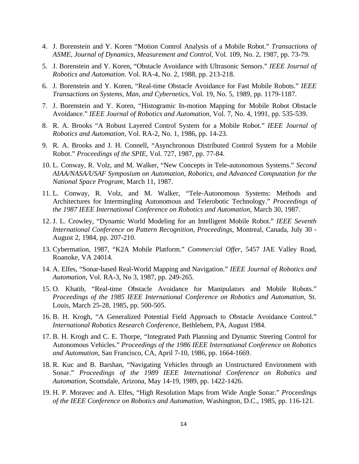- 4. J. Borenstein and Y. Koren "Motion Control Analysis of a Mobile Robot." *Transactions of ASME, Journal of Dynamics, Measurement and Control*, Vol. 109, No. 2, 1987, pp. 73-79.
- 5. J. Borenstein and Y. Koren, "Obstacle Avoidance with Ultrasonic Sensors." *IEEE Journal of Robotics and Automation.* Vol. RA-4, No. 2, 1988, pp. 213-218.
- 6. J. Borenstein and Y. Koren, "Real-time Obstacle Avoidance for Fast Mobile Robots." *IEEE Transactions on Systems, Man, and Cybernetics*, Vol. 19, No. 5, 1989, pp. 1179-1187.
- 7. J. Borenstein and Y. Koren, "Histogramic In-motion Mapping for Mobile Robot Obstacle Avoidance." *IEEE Journal of Robotics and Automation*, Vol. 7, No. 4, 1991, pp. 535-539.
- 8. R. A. Brooks "A Robust Layered Control System for a Mobile Robot." *IEEE Journal of Robotics and Automation*, Vol. RA-2, No. 1, 1986, pp. 14-23.
- 9. R. A. Brooks and J. H. Connell, "Asynchronous Distributed Control System for a Mobile Robot." *Proceedings of the SPIE*, Vol. 727, 1987, pp. 77-84.
- 10. L. Conway, R. Volz, and M. Walker, "New Concepts in Tele-autonomous Systems." *Second AIAA/NASA/USAF Symposium on Automation, Robotics, and Advanced Computation for the National Space Program*, March 11, 1987.
- 11. L. Conway, R. Volz, and M. Walker, "Tele-Autonomous Systems: Methods and Architectures for Intermingling Autonomous and Telerobotic Technology." *Proceedings of the 1987 IEEE International Conference on Robotics and Automation*, March 30, 1987.
- 12. J. L. Crowley, "Dynamic World Modeling for an Intelligent Mobile Robot." *IEEE Seventh International Conference on Pattern Recognition, Proceedings*, Montreal, Canada, July 30 - August 2, 1984, pp. 207-210.
- 13. Cybermation, 1987, "K2A Mobile Platform." *Commercial Offer*, 5457 JAE Valley Road, Roanoke, VA 24014.
- 14. A. Elfes, "Sonar-based Real-World Mapping and Navigation." *IEEE Journal of Robotics and Automation*, Vol. RA-3, No 3, 1987, pp. 249-265.
- 15. O. Khatib, "Real-time Obstacle Avoidance for Manipulators and Mobile Robots." *Proceedings of the 1985 IEEE International Conference on Robotics and Automation*, St. Louis, March 25-28, 1985, pp. 500-505.
- 16. B. H. Krogh, "A Generalized Potential Field Approach to Obstacle Avoidance Control." *International Robotics Research Conference*, Bethlehem, PA, August 1984.
- 17. B. H. Krogh and C. E. Thorpe, "Integrated Path Planning and Dynamic Steering Control for Autonomous Vehicles." *Proceedings of the 1986 IEEE International Conference on Robotics and Automation*, San Francisco, CA, April 7-10, 1986, pp. 1664-1669.
- 18. R. Kuc and B. Barshan, "Navigating Vehicles through an Unstructured Environment with Sonar." *Proceedings of the 1989 IEEE International Conference on Robotics and Automation*, Scottsdale, Arizona, May 14-19, 1989, pp. 1422-1426.
- 19. H. P. Moravec and A. Elfes, "High Resolution Maps from Wide Angle Sonar." *Proceedings of the IEEE Conference on Robotics and Automation*, Washington, D.C., 1985, pp. 116-121.